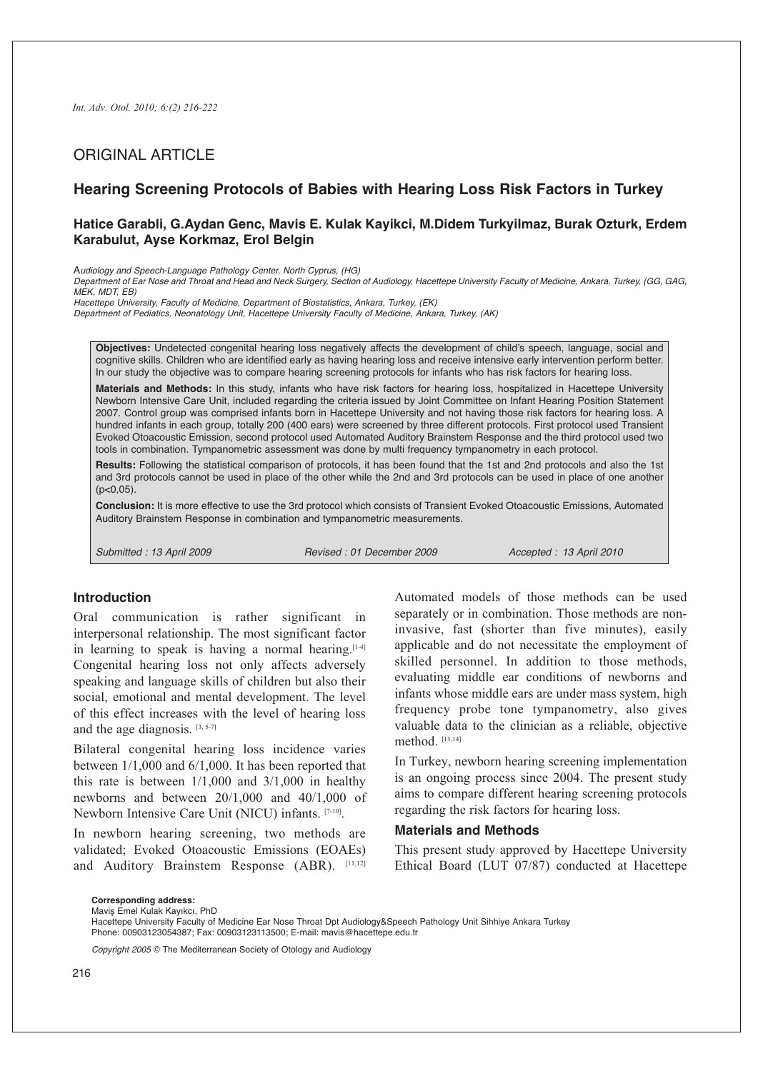# ORIGINAL ARTICLE

## **Hearing Screening Protocols of Babies with Hearing Loss Risk Factors in Turkey**

## **Hatice Garabli, G.Aydan Genc, Mavis E. Kulak Kayikci, M.Didem Turkyilmaz, Burak Ozturk, Erdem Karabulut, Ayse Korkmaz, Erol Belgin**

A*udiology and Speech-Language Pathology Center, North Cyprus, (HG)*

Department of Ear Nose and Throat and Head and Neck Surgery, Section of Audiology, Hacettepe University Faculty of Medicine, Ankara, Turkey, (GG, GAG, *MEK, MDT, EB)*

*Hacettepe University, Faculty of Medicine, Department of Biostatistics, Ankara, Turkey, (EK)*

*Department of Pediatics, Neonatology Unit, Hacettepe University Faculty of Medicine, Ankara, Turkey, (AK)*

**Objectives:** Undetected congenital hearing loss negatively affects the development of child's speech, language, social and cognitive skills. Children who are identified early as having hearing loss and receive intensive early intervention perform better. In our study the objective was to compare hearing screening protocols for infants who has risk factors for hearing loss.

**Materials and Methods:** In this study, infants who have risk factors for hearing loss, hospitalized in Hacettepe University Newborn Intensive Care Unit, included regarding the criteria issued by Joint Committee on Infant Hearing Position Statement 2007. Control group was comprised infants born in Hacettepe University and not having those risk factors for hearing loss. A hundred infants in each group, totally 200 (400 ears) were screened by three different protocols. First protocol used Transient Evoked Otoacoustic Emission, second protocol used Automated Auditory Brainstem Response and the third protocol used two tools in combination. Tympanometric assessment was done by multi frequency tympanometry in each protocol.

**Results:** Following the statistical comparison of protocols, it has been found that the 1st and 2nd protocols and also the 1st and 3rd protocols cannot be used in place of the other while the 2nd and 3rd protocols can be used in place of one another  $(p<0.05)$ .

**Conclusion:** It is more effective to use the 3rd protocol which consists of Transient Evoked Otoacoustic Emissions, Automated Auditory Brainstem Response in combination and tympanometric measurements.

*Submitted : 13 April 2009 Revised : 01 December 2009 Accepted : 13 April 2010*

#### **Introduction**

Oral communication is rather significant in interpersonal relationship. The most significant factor in learning to speak is having a normal hearing.  $[1-4]$ Congenital hearing loss not only affects adversely speaking and language skills of children but also their social, emotional and mental development. The level of this effect increases with the level of hearing loss and the age diagnosis.  $[3, 5-7]$ 

Bilateral congenital hearing loss incidence varies between 1/1,000 and 6/1,000. It has been reported that this rate is between  $1/1,000$  and  $3/1,000$  in healthy newborns and between 20/1,000 and 40/1,000 of Newborn Intensive Care Unit (NICU) infants. [7-10].

In newborn hearing screening, two methods are validated; Evoked Otoacoustic Emissions (EOAEs) and Auditory Brainstem Response (ABR). [11,12]

Automated models of those methods can be used separately or in combination. Those methods are noninvasive, fast (shorter than five minutes), easily applicable and do not necessitate the employment of skilled personnel. In addition to those methods, evaluating middle ear conditions of newborns and infants whose middle ears are under mass system, high frequency probe tone tympanometry, also gives valuable data to the clinician as a reliable, objective method. [13,14]

In Turkey, newborn hearing screening implementation is an ongoing process since 2004. The present study aims to compare different hearing screening protocols regarding the risk factors for hearing loss.

### **Materials and Methods**

This present study approved by Hacettepe University Ethical Board (LUT 07/87) conducted at Hacettepe

**Corresponding address:**

*Copyright 2005* © The Mediterranean Society of Otology and Audiology

Maviş Emel Kulak Kayıkcı, PhD

Hacettepe University Faculty of Medicine Ear Nose Throat Dpt Audiology&Speech Pathology Unit Sihhiye Ankara Turkey Phone: 00903123054387; Fax: 00903123113500; E-mail: mavis@hacettepe.edu.tr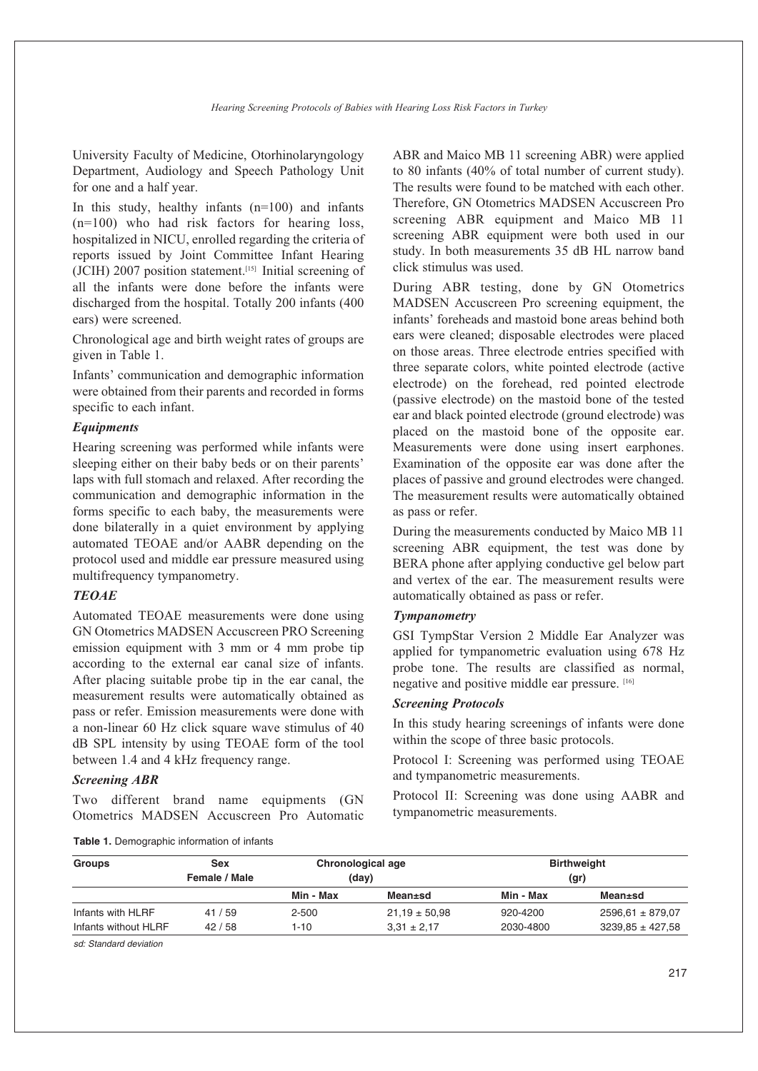University Faculty of Medicine, Otorhinolaryngology Department, Audiology and Speech Pathology Unit for one and a half year.

In this study, healthy infants  $(n=100)$  and infants (n=100) who had risk factors for hearing loss, hospitalized in NICU, enrolled regarding the criteria of reports issued by Joint Committee Infant Hearing (JCIH) 2007 position statement. [15] Initial screening of all the infants were done before the infants were discharged from the hospital. Totally 200 infants (400 ears) were screened.

Chronological age and birth weight rates of groups are given in Table 1.

Infants' communication and demographic information were obtained from their parents and recorded in forms specific to each infant.

### *Equipments*

Hearing screening was performed while infants were sleeping either on their baby beds or on their parents' laps with full stomach and relaxed. After recording the communication and demographic information in the forms specific to each baby, the measurements were done bilaterally in a quiet environment by applying automated TEOAE and/or AABR depending on the protocol used and middle ear pressure measured using multifrequency tympanometry.

#### *TEOAE*

Automated TEOAE measurements were done using GN Otometrics MADSEN Accuscreen PRO Screening emission equipment with 3 mm or 4 mm probe tip according to the external ear canal size of infants. After placing suitable probe tip in the ear canal, the measurement results were automatically obtained as pass or refer. Emission measurements were done with a non-linear 60 Hz click square wave stimulus of 40 dB SPL intensity by using TEOAE form of the tool between 1.4 and 4 kHz frequency range.

### *Screening ABR*

Two different brand name equipments (GN Otometrics MADSEN Accuscreen Pro Automatic ABR and Maico MB 11 screening ABR) were applied to 80 infants (40% of total number of current study). The results were found to be matched with each other. Therefore, GN Otometrics MADSEN Accuscreen Pro screening ABR equipment and Maico MB 11 screening ABR equipment were both used in our study. In both measurements 35 dB HL narrow band click stimulus was used.

During ABR testing, done by GN Otometrics MADSEN Accuscreen Pro screening equipment, the infants' foreheads and mastoid bone areas behind both ears were cleaned; disposable electrodes were placed on those areas. Three electrode entries specified with three separate colors, white pointed electrode (active electrode) on the forehead, red pointed electrode (passive electrode) on the mastoid bone of the tested ear and black pointed electrode (ground electrode) was placed on the mastoid bone of the opposite ear. Measurements were done using insert earphones. Examination of the opposite ear was done after the places of passive and ground electrodes were changed. The measurement results were automatically obtained as pass or refer.

During the measurements conducted by Maico MB 11 screening ABR equipment, the test was done by BERA phone after applying conductive gel below part and vertex of the ear. The measurement results were automatically obtained as pass or refer.

#### *Tympanometry*

GSI TympStar Version 2 Middle Ear Analyzer was applied for tympanometric evaluation using 678 Hz probe tone. The results are classified as normal, negative and positive middle ear pressure. [16]

### *Screening Protocols*

In this study hearing screenings of infants were done within the scope of three basic protocols.

Protocol I: Screening was performed using TEOAE and tympanometric measurements.

Protocol II: Screening was done using AABR and tympanometric measurements.

**Table 1.** Demographic information of infants

| <b>Groups</b>        | Sex           | Chronological age |                   |           | <b>Birthweight</b>   |
|----------------------|---------------|-------------------|-------------------|-----------|----------------------|
|                      | Female / Male | (day)             |                   |           | (gr)                 |
|                      |               | Min - Max         | Mean±sd           | Min - Max | Mean±sd              |
| Infants with HLRF    | 41/59         | 2-500             | $21.19 \pm 50.98$ | 920-4200  | $2596.61 \pm 879.07$ |
| Infants without HLRF | 42/58         | 1-10              | $3.31 \pm 2.17$   | 2030-4800 | $3239.85 \pm 427.58$ |

*sd: Standard deviation*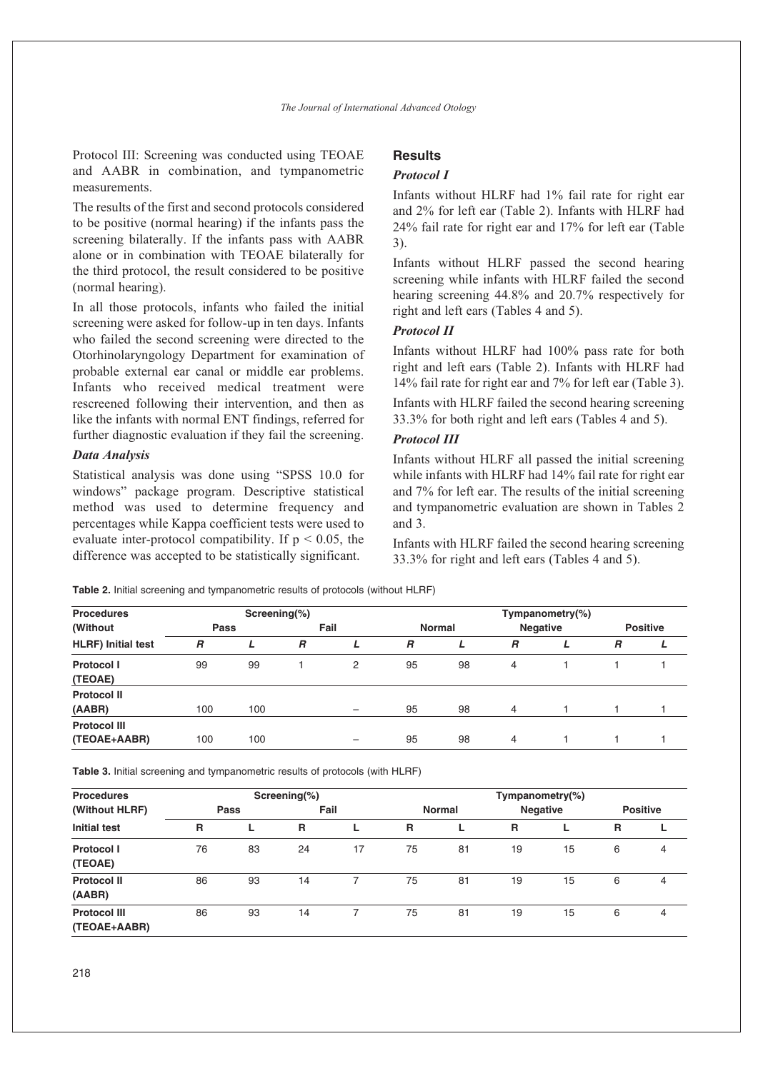Protocol III: Screening was conducted using TEOAE and AABR in combination, and tympanometric measurements.

The results of the first and second protocols considered to be positive (normal hearing) if the infants pass the screening bilaterally. If the infants pass with AABR alone or in combination with TEOAE bilaterally for the third protocol, the result considered to be positive (normal hearing).

In all those protocols, infants who failed the initial screening were asked for follow-up in ten days. Infants who failed the second screening were directed to the Otorhinolaryngology Department for examination of probable external ear canal or middle ear problems. Infants who received medical treatment were rescreened following their intervention, and then as like the infants with normal ENT findings, referred for further diagnostic evaluation if they fail the screening.

#### *Data Analysis*

Statistical analysis was done using "SPSS 10.0 for windows" package program. Descriptive statistical method was used to determine frequency and percentages while Kappa coefficient tests were used to evaluate inter-protocol compatibility. If  $p < 0.05$ , the difference was accepted to be statistically significant.

## **Results**

#### *Protocol I*

Infants without HLRF had 1% fail rate for right ear and 2% for left ear (Table 2). Infants with HLRF had 24% fail rate for right ear and 17% for left ear (Table 3).

Infants without HLRF passed the second hearing screening while infants with HLRF failed the second hearing screening 44.8% and 20.7% respectively for right and left ears (Tables 4 and 5).

## *Protocol II*

Infants without HLRF had 100% pass rate for both right and left ears (Table 2). Infants with HLRF had 14% fail rate for right ear and 7% for left ear (Table 3).

Infants with HLRF failed the second hearing screening 33.3% for both right and left ears (Tables 4 and 5).

## *Protocol III*

Infants without HLRF all passed the initial screening while infants with HLRF had 14% fail rate for right ear and 7% for left ear. The results of the initial screening and tympanometric evaluation are shown in Tables 2 and 3.

Infants with HLRF failed the second hearing screening 33.3% for right and left ears (Tables 4 and 5).

**Table 2.** Initial screening and tympanometric results of protocols (without HLRF)

| <b>Procedures</b>                   |                | Screening $(\%)$ |      |                          | Tympanometry $(\%)$ |    |                 |  |                 |  |  |  |
|-------------------------------------|----------------|------------------|------|--------------------------|---------------------|----|-----------------|--|-----------------|--|--|--|
| (Without)                           | Pass           |                  | Fail |                          | <b>Normal</b>       |    | <b>Negative</b> |  | <b>Positive</b> |  |  |  |
| <b>HLRF)</b> Initial test           | $\overline{B}$ |                  | R    | L                        | $\overline{B}$      |    | R               |  | $\overline{R}$  |  |  |  |
| Protocol I<br>(TEOAE)               | 99             | 99               |      | 2                        | 95                  | 98 | 4               |  |                 |  |  |  |
| <b>Protocol II</b><br>(AABR)        | 100            | 100              |      | $\qquad \qquad -$        | 95                  | 98 | $\overline{4}$  |  |                 |  |  |  |
| <b>Protocol III</b><br>(TEOAE+AABR) | 100            | 100              |      | $\overline{\phantom{0}}$ | 95                  | 98 | 4               |  |                 |  |  |  |

**Table 3.** Initial screening and tympanometric results of protocols (with HLRF)

| <b>Procedures</b>                   |      |    | Screening $(\%)$ |    | Tympanometry(%) |    |                 |    |                 |   |  |  |
|-------------------------------------|------|----|------------------|----|-----------------|----|-----------------|----|-----------------|---|--|--|
| (Without HLRF)                      | Pass |    | Fail             |    | <b>Normal</b>   |    | <b>Negative</b> |    | <b>Positive</b> |   |  |  |
| <b>Initial test</b>                 | R    |    | R                | L  | R               |    | R               | ш  | R               |   |  |  |
| Protocol I<br>(TEOAE)               | 76   | 83 | 24               | 17 | 75              | 81 | 19              | 15 | 6               | 4 |  |  |
| <b>Protocol II</b><br>(AABR)        | 86   | 93 | 14               |    | 75              | 81 | 19              | 15 | 6               | 4 |  |  |
| <b>Protocol III</b><br>(TEOAE+AABR) | 86   | 93 | 14               |    | 75              | 81 | 19              | 15 | 6               | 4 |  |  |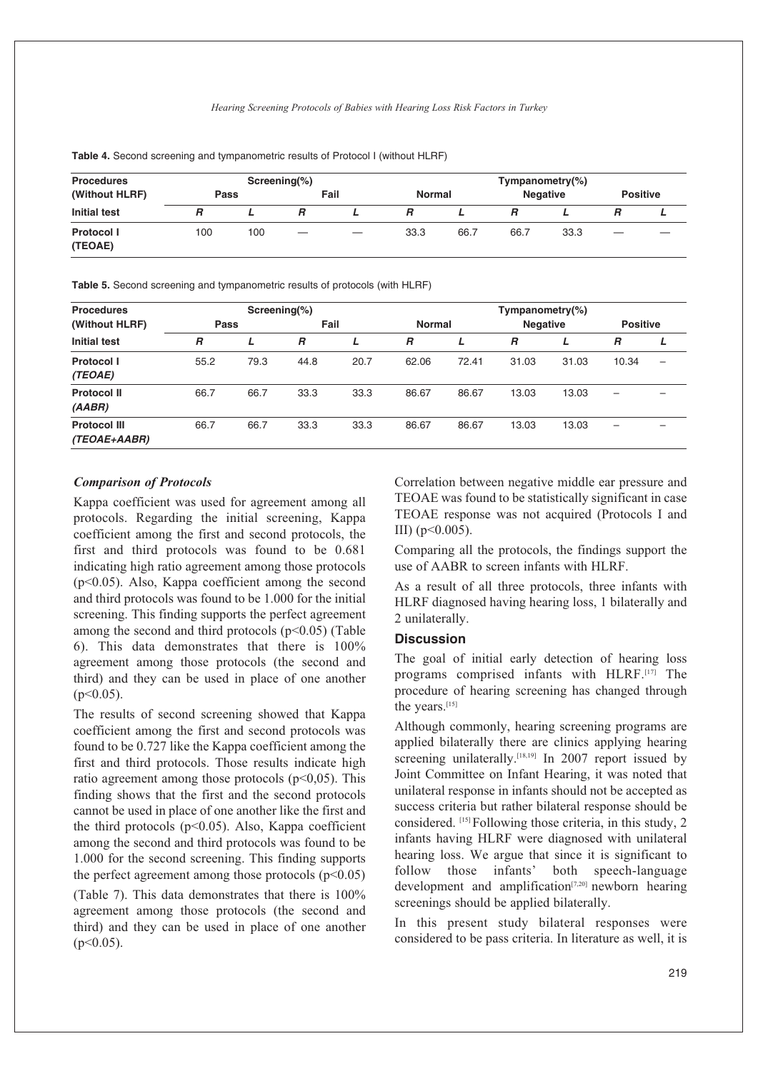| <b>Procedures</b>            |      |     | Screening $(\%)$  |                   | Tympanometry $(\%)$ |      |                 |      |   |                 |  |
|------------------------------|------|-----|-------------------|-------------------|---------------------|------|-----------------|------|---|-----------------|--|
| (Without HLRF)               | Pass |     |                   | Fail              | <b>Normal</b>       |      | <b>Negative</b> |      |   | <b>Positive</b> |  |
| <b>Initial test</b>          | R    |     |                   |                   |                     |      |                 |      |   |                 |  |
| <b>Protocol I</b><br>(TEOAE) | 100  | 100 | $\hspace{0.05cm}$ | $\hspace{0.05cm}$ | 33.3                | 66.7 | 66.7            | 33.3 | — |                 |  |

**Table 4.** Second screening and tympanometric results of Protocol I (without HLRF)

**Table 5.** Second screening and tympanometric results of protocols (with HLRF)

| <b>Procedures</b>                   |      | Screening $(\%)$ |      |      | Tympanometry $(\%)$ |       |                 |       |                          |   |  |
|-------------------------------------|------|------------------|------|------|---------------------|-------|-----------------|-------|--------------------------|---|--|
| (Without HLRF)                      | Pass |                  | Fail |      | Normal              |       | <b>Negative</b> |       | <b>Positive</b>          |   |  |
| <b>Initial test</b>                 | R    |                  | R    | L    | R                   |       | R               |       | $\overline{R}$           |   |  |
| <b>Protocol I</b><br>(TEOAE)        | 55.2 | 79.3             | 44.8 | 20.7 | 62.06               | 72.41 | 31.03           | 31.03 | 10.34                    | - |  |
| <b>Protocol II</b><br>(AABR)        | 66.7 | 66.7             | 33.3 | 33.3 | 86.67               | 86.67 | 13.03           | 13.03 | $\overline{\phantom{m}}$ |   |  |
| <b>Protocol III</b><br>(TEOAE+AABR) | 66.7 | 66.7             | 33.3 | 33.3 | 86.67               | 86.67 | 13.03           | 13.03 |                          |   |  |

### *Comparison of Protocols*

Kappa coefficient was used for agreement among all protocols. Regarding the initial screening, Kappa coefficient among the first and second protocols, the first and third protocols was found to be 0.681 indicating high ratio agreement among those protocols (p<0.05). Also, Kappa coefficient among the second and third protocols was found to be 1.000 for the initial screening. This finding supports the perfect agreement among the second and third protocols  $(p<0.05)$  (Table 6). This data demonstrates that there is 100% agreement among those protocols (the second and third) and they can be used in place of one another  $(p<0.05)$ .

The results of second screening showed that Kappa coefficient among the first and second protocols was found to be 0.727 like the Kappa coefficient among the first and third protocols. Those results indicate high ratio agreement among those protocols  $(p<0,05)$ . This finding shows that the first and the second protocols cannot be used in place of one another like the first and the third protocols ( $p<0.05$ ). Also, Kappa coefficient among the second and third protocols was found to be 1.000 for the second screening. This finding supports the perfect agreement among those protocols  $(p<0.05)$ 

(Table 7). This data demonstrates that there is 100% agreement among those protocols (the second and third) and they can be used in place of one another  $(n<0.05)$ .

Correlation between negative middle ear pressure and TEOAE was found to be statistically significant in case TEOAE response was not acquired (Protocols I and III) ( $p<0.005$ ).

Comparing all the protocols, the findings support the use of AABR to screen infants with HLRF.

As a result of all three protocols, three infants with HLRF diagnosed having hearing loss, 1 bilaterally and 2 unilaterally.

### **Discussion**

The goal of initial early detection of hearing loss programs comprised infants with HLRF.[17] The procedure of hearing screening has changed through the years.[15]

Although commonly, hearing screening programs are applied bilaterally there are clinics applying hearing screening unilaterally.<sup>[18,19]</sup> In 2007 report issued by Joint Committee on Infant Hearing, it was noted that unilateral response in infants should not be accepted as success criteria but rather bilateral response should be considered. [15] Following those criteria, in this study, 2 infants having HLRF were diagnosed with unilateral hearing loss. We argue that since it is significant to follow those infants' both speech-language development and amplification $[7,20]$  newborn hearing screenings should be applied bilaterally.

In this present study bilateral responses were considered to be pass criteria. In literature as well, it is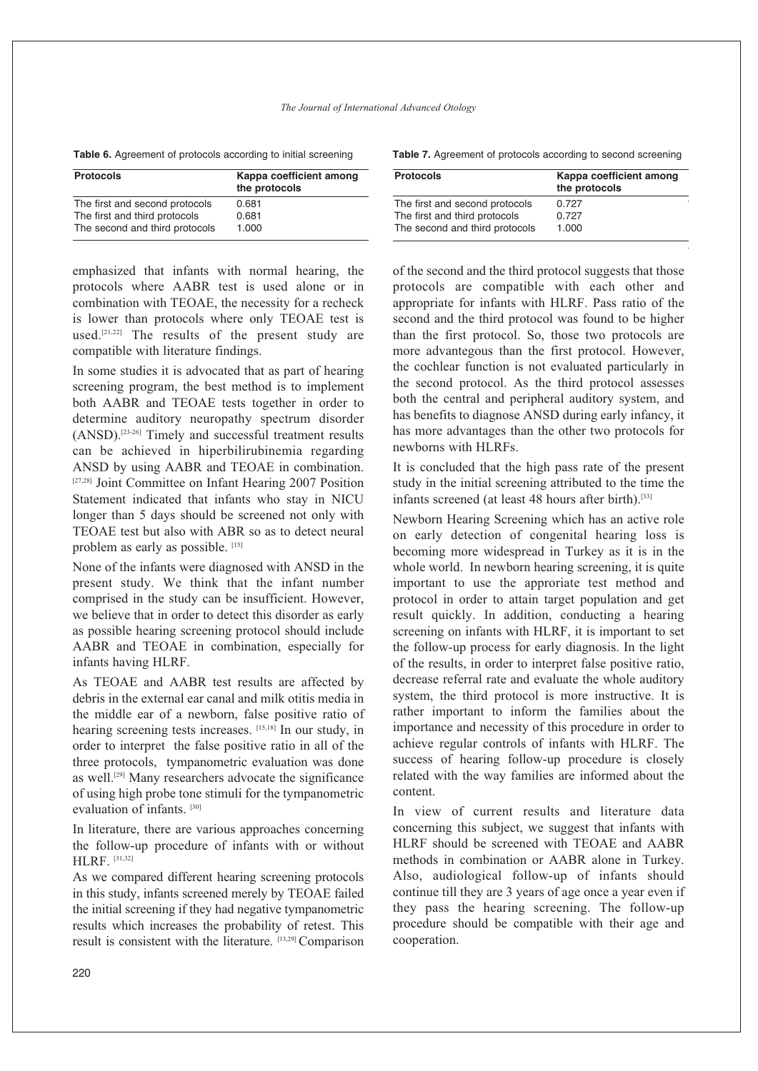#### *The Journal of International Advanced Otology*

**Table 6.** Agreement of protocols according to initial screening

| <b>Protocols</b>               | Kappa coefficient among<br>the protocols |
|--------------------------------|------------------------------------------|
| The first and second protocols | 0.681                                    |
| The first and third protocols  | 0.681                                    |
| The second and third protocols | 1.000                                    |

emphasized that infants with normal hearing, the protocols where AABR test is used alone or in combination with TEOAE, the necessity for a recheck is lower than protocols where only TEOAE test is used. [21,22] The results of the present study are compatible with literature findings.

In some studies it is advocated that as part of hearing screening program, the best method is to implement both AABR and TEOAE tests together in order to determine auditory neuropathy spectrum disorder (ANSD). [23-26] Timely and successful treatment results can be achieved in hiperbilirubinemia regarding ANSD by using AABR and TEOAE in combination. [27,28] Joint Committee on Infant Hearing 2007 Position Statement indicated that infants who stay in NICU longer than 5 days should be screened not only with TEOAE test but also with ABR so as to detect neural problem as early as possible. [15]

None of the infants were diagnosed with ANSD in the present study. We think that the infant number comprised in the study can be insufficient. However, we believe that in order to detect this disorder as early as possible hearing screening protocol should include AABR and TEOAE in combination, especially for infants having HLRF.

As TEOAE and AABR test results are affected by debris in the external ear canal and milk otitis media in the middle ear of a newborn, false positive ratio of hearing screening tests increases. [15,18] In our study, in order to interpret the false positive ratio in all of the three protocols, tympanometric evaluation was done as well. [29] Many researchers advocate the significance of using high probe tone stimuli for the tympanometric evaluation of infants. [30]

In literature, there are various approaches concerning the follow-up procedure of infants with or without HLRF. [31,32]

As we compared different hearing screening protocols in this study, infants screened merely by TEOAE failed the initial screening if they had negative tympanometric results which increases the probability of retest. This result is consistent with the literature. [13,29] Comparison

**Table 7.** Agreement of protocols according to second screening

| <b>Protocols</b>                                                | Kappa coefficient among<br>the protocols |
|-----------------------------------------------------------------|------------------------------------------|
| The first and second protocols<br>The first and third protocols | 0.727<br>0.727                           |
| The second and third protocols                                  | 1.000                                    |

of the second and the third protocol suggests that those protocols are compatible with each other and appropriate for infants with HLRF. Pass ratio of the second and the third protocol was found to be higher than the first protocol. So, those two protocols are more advantegous than the first protocol. However, the cochlear function is not evaluated particularly in the second protocol. As the third protocol assesses both the central and peripheral auditory system, and has benefits to diagnose ANSD during early infancy, it has more advantages than the other two protocols for newborns with HLRFs.

It is concluded that the high pass rate of the present study in the initial screening attributed to the time the infants screened (at least 48 hours after birth). [33]

Newborn Hearing Screening which has an active role on early detection of congenital hearing loss is becoming more widespread in Turkey as it is in the whole world. In newborn hearing screening, it is quite important to use the approriate test method and protocol in order to attain target population and get result quickly. In addition, conducting a hearing screening on infants with HLRF, it is important to set the follow-up process for early diagnosis. In the light of the results, in order to interpret false positive ratio, decrease referral rate and evaluate the whole auditory system, the third protocol is more instructive. It is rather important to inform the families about the importance and necessity of this procedure in order to achieve regular controls of infants with HLRF. The success of hearing follow-up procedure is closely related with the way families are informed about the content.

In view of current results and literature data concerning this subject, we suggest that infants with HLRF should be screened with TEOAE and AABR methods in combination or AABR alone in Turkey. Also, audiological follow-up of infants should continue till they are 3 years of age once a year even if they pass the hearing screening. The follow-up procedure should be compatible with their age and cooperation.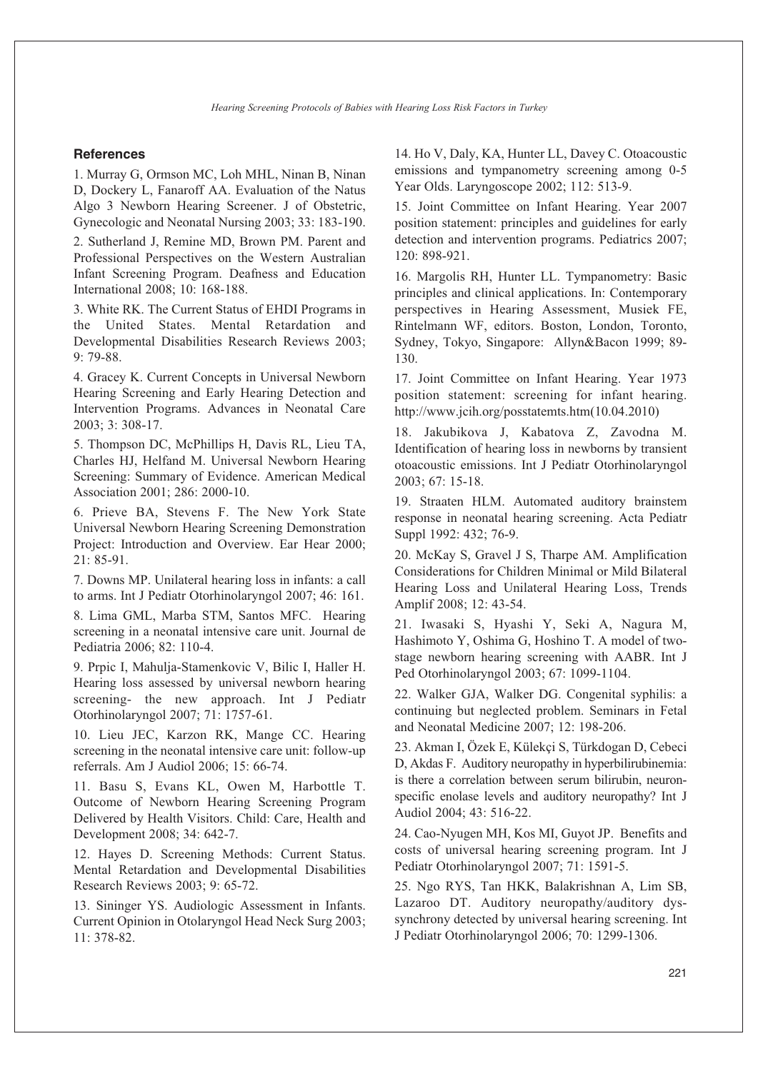#### **References**

1. Murray G, Ormson MC, Loh MHL, Ninan B, Ninan D, Dockery L, Fanaroff AA. Evaluation of the Natus Algo 3 Newborn Hearing Screener. J of Obstetric, Gynecologic and Neonatal Nursing 2003; 33: 183-190.

2. Sutherland J, Remine MD, Brown PM. Parent and Professional Perspectives on the Western Australian Infant Screening Program. Deafness and Education International 2008; 10: 168-188.

3. White RK. The Current Status of EHDI Programs in the United States. Mental Retardation and Developmental Disabilities Research Reviews 2003; 9: 79-88.

4. Gracey K. Current Concepts in Universal Newborn Hearing Screening and Early Hearing Detection and Intervention Programs. Advances in Neonatal Care 2003; 3: 308-17.

5. Thompson DC, McPhillips H, Davis RL, Lieu TA, Charles HJ, Helfand M. Universal Newborn Hearing Screening: Summary of Evidence. American Medical Association 2001; 286: 2000-10.

6. Prieve BA, Stevens F. The New York State Universal Newborn Hearing Screening Demonstration Project: Introduction and Overview. Ear Hear 2000; 21: 85-91.

7. Downs MP. Unilateral hearing loss in infants: a call to arms. Int J Pediatr Otorhinolaryngol 2007; 46: 161.

8. Lima GML, Marba STM, Santos MFC. Hearing screening in a neonatal intensive care unit. Journal de Pediatria 2006; 82: 110-4.

9. Prpic I, Mahulja-Stamenkovic V, Bilic I, Haller H. Hearing loss assessed by universal newborn hearing screening- the new approach. Int J Pediatr Otorhinolaryngol 2007; 71: 1757-61.

10. Lieu JEC, Karzon RK, Mange CC. Hearing screening in the neonatal intensive care unit: follow-up referrals. Am J Audiol 2006; 15: 66-74.

11. Basu S, Evans KL, Owen M, Harbottle T. Outcome of Newborn Hearing Screening Program Delivered by Health Visitors. Child: Care, Health and Development 2008; 34: 642-7.

12. Hayes D. Screening Methods: Current Status. Mental Retardation and Developmental Disabilities Research Reviews 2003; 9: 65-72.

13. Sininger YS. Audiologic Assessment in Infants. Current Opinion in Otolaryngol Head Neck Surg 2003; 11: 378-82.

14. Ho V, Daly, KA, Hunter LL, Davey C. Otoacoustic emissions and tympanometry screening among 0-5 Year Olds. Laryngoscope 2002; 112: 513-9.

15. Joint Committee on Infant Hearing. Year 2007 position statement: principles and guidelines for early detection and intervention programs. Pediatrics 2007; 120: 898-921.

16. Margolis RH, Hunter LL. Tympanometry: Basic principles and clinical applications. In: Contemporary perspectives in Hearing Assessment, Musiek FE, Rintelmann WF, editors. Boston, London, Toronto, Sydney, Tokyo, Singapore: Allyn&Bacon 1999; 89- 130.

17. Joint Committee on Infant Hearing. Year 1973 position statement: screening for infant hearing. http://www.jcih.org/posstatemts.htm(10.04.2010)

18. Jakubikova J, Kabatova Z, Zavodna M. Identification of hearing loss in newborns by transient otoacoustic emissions. Int J Pediatr Otorhinolaryngol 2003; 67: 15-18.

19. Straaten HLM. Automated auditory brainstem response in neonatal hearing screening. Acta Pediatr Suppl 1992: 432; 76-9.

20. McKay S, Gravel J S, Tharpe AM. Amplification Considerations for Children Minimal or Mild Bilateral Hearing Loss and Unilateral Hearing Loss, Trends Amplif 2008; 12: 43-54.

21. Iwasaki S, Hyashi Y, Seki A, Nagura M, Hashimoto Y, Oshima G, Hoshino T. A model of twostage newborn hearing screening with AABR. Int J Ped Otorhinolaryngol 2003; 67: 1099-1104.

22. Walker GJA, Walker DG. Congenital syphilis: a continuing but neglected problem. Seminars in Fetal and Neonatal Medicine 2007; 12: 198-206.

23. Akman I, Özek E, Külekçi S, Türkdogan D, Cebeci D, Akdas F. Auditory neuropathy in hyperbilirubinemia: is there a correlation between serum bilirubin, neuronspecific enolase levels and auditory neuropathy? Int J Audiol 2004; 43: 516-22.

24. Cao-Nyugen MH, Kos MI, Guyot JP. Benefits and costs of universal hearing screening program. Int J Pediatr Otorhinolaryngol 2007; 71: 1591-5.

25. Ngo RYS, Tan HKK, Balakrishnan A, Lim SB, Lazaroo DT. Auditory neuropathy/auditory dyssynchrony detected by universal hearing screening. Int J Pediatr Otorhinolaryngol 2006; 70: 1299-1306.